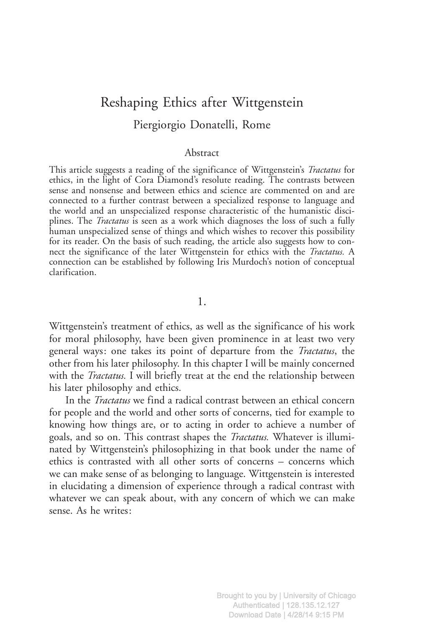## Reshaping Ethics after Wittgenstein Piergiorgio Donatelli, Rome

## Abstract

This article suggests a reading of the significance of Wittgenstein's Tractatus for ethics, in the light of Cora Diamond's resolute reading. The contrasts between sense and nonsense and between ethics and science are commented on and are connected to a further contrast between a specialized response to language and the world and an unspecialized response characteristic of the humanistic disciplines. The *Tractatus* is seen as a work which diagnoses the loss of such a fully human unspecialized sense of things and which wishes to recover this possibility for its reader. On the basis of such reading, the article also suggests how to connect the significance of the later Wittgenstein for ethics with the *Tractatus*. A connection can be established by following Iris Murdoch's notion of conceptual clarification.

1.

Wittgenstein's treatment of ethics, as well as the significance of his work for moral philosophy, have been given prominence in at least two very general ways: one takes its point of departure from the Tractatus, the other from his later philosophy. In this chapter I will be mainly concerned with the *Tractatus*. I will briefly treat at the end the relationship between his later philosophy and ethics.

In the Tractatus we find a radical contrast between an ethical concern for people and the world and other sorts of concerns, tied for example to knowing how things are, or to acting in order to achieve a number of goals, and so on. This contrast shapes the Tractatus. Whatever is illuminated by Wittgenstein's philosophizing in that book under the name of ethics is contrasted with all other sorts of concerns – concerns which we can make sense of as belonging to language. Wittgenstein is interested in elucidating a dimension of experience through a radical contrast with whatever we can speak about, with any concern of which we can make sense. As he writes: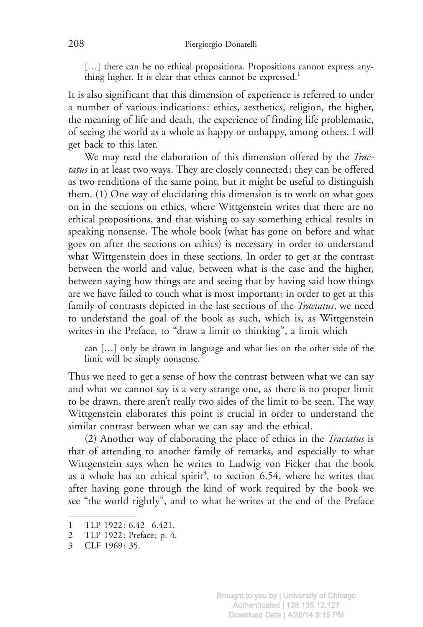[...] there can be no ethical propositions. Propositions cannot express anything higher. It is clear that ethics cannot be expressed.<sup>1</sup>

It is also significant that this dimension of experience is referred to under a number of various indications: ethics, aesthetics, religion, the higher, the meaning of life and death, the experience of finding life problematic, of seeing the world as a whole as happy or unhappy, among others. I will get back to this later.

We may read the elaboration of this dimension offered by the Tractatus in at least two ways. They are closely connected; they can be offered as two renditions of the same point, but it might be useful to distinguish them. (1) One way of elucidating this dimension is to work on what goes on in the sections on ethics, where Wittgenstein writes that there are no ethical propositions, and that wishing to say something ethical results in speaking nonsense. The whole book (what has gone on before and what goes on after the sections on ethics) is necessary in order to understand what Wittgenstein does in these sections. In order to get at the contrast between the world and value, between what is the case and the higher, between saying how things are and seeing that by having said how things are we have failed to touch what is most important; in order to get at this family of contrasts depicted in the last sections of the *Tractatus*, we need to understand the goal of the book as such, which is, as Wittgenstein writes in the Preface, to "draw a limit to thinking", a limit which

can […] only be drawn in language and what lies on the other side of the limit will be simply nonsense. $2$ 

Thus we need to get a sense of how the contrast between what we can say and what we cannot say is a very strange one, as there is no proper limit to be drawn, there aren't really two sides of the limit to be seen. The way Wittgenstein elaborates this point is crucial in order to understand the similar contrast between what we can say and the ethical.

(2) Another way of elaborating the place of ethics in the Tractatus is that of attending to another family of remarks, and especially to what Wittgenstein says when he writes to Ludwig von Ficker that the book as a whole has an ethical spirit<sup>3</sup>, to section  $6.54$ , where he writes that after having gone through the kind of work required by the book we see "the world rightly", and to what he writes at the end of the Preface

<sup>1</sup> TLP 1922: 6.42-6.421.

<sup>2</sup> TLP 1922: Preface; p. 4.

<sup>3</sup> CLF 1969: 35.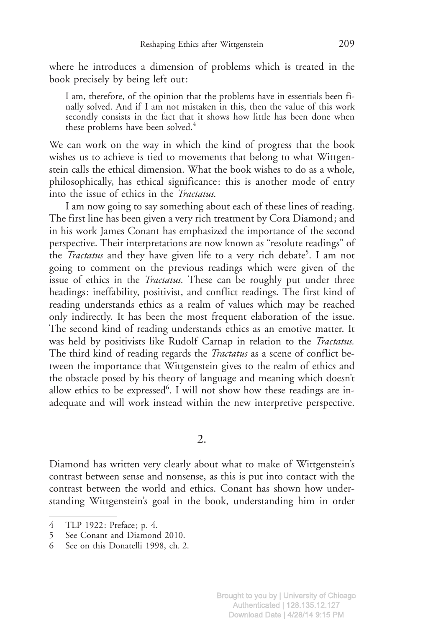where he introduces a dimension of problems which is treated in the book precisely by being left out:

I am, therefore, of the opinion that the problems have in essentials been finally solved. And if I am not mistaken in this, then the value of this work secondly consists in the fact that it shows how little has been done when these problems have been solved.<sup>4</sup>

We can work on the way in which the kind of progress that the book wishes us to achieve is tied to movements that belong to what Wittgenstein calls the ethical dimension. What the book wishes to do as a whole, philosophically, has ethical significance: this is another mode of entry into the issue of ethics in the Tractatus.

I am now going to say something about each of these lines of reading. The first line has been given a very rich treatment by Cora Diamond; and in his work James Conant has emphasized the importance of the second perspective. Their interpretations are now known as "resolute readings" of the *Tractatus* and they have given life to a very rich debate<sup>5</sup>. I am not going to comment on the previous readings which were given of the issue of ethics in the *Tractatus*. These can be roughly put under three headings: ineffability, positivist, and conflict readings. The first kind of reading understands ethics as a realm of values which may be reached only indirectly. It has been the most frequent elaboration of the issue. The second kind of reading understands ethics as an emotive matter. It was held by positivists like Rudolf Carnap in relation to the *Tractatus*. The third kind of reading regards the *Tractatus* as a scene of conflict between the importance that Wittgenstein gives to the realm of ethics and the obstacle posed by his theory of language and meaning which doesn't allow ethics to be expressed<sup>6</sup>. I will not show how these readings are inadequate and will work instead within the new interpretive perspective.

2.

Diamond has written very clearly about what to make of Wittgenstein's contrast between sense and nonsense, as this is put into contact with the contrast between the world and ethics. Conant has shown how understanding Wittgenstein's goal in the book, understanding him in order

<sup>4</sup> TLP 1922: Preface; p. 4.

<sup>5</sup> See Conant and Diamond 2010.

<sup>6</sup> See on this Donatelli 1998, ch. 2.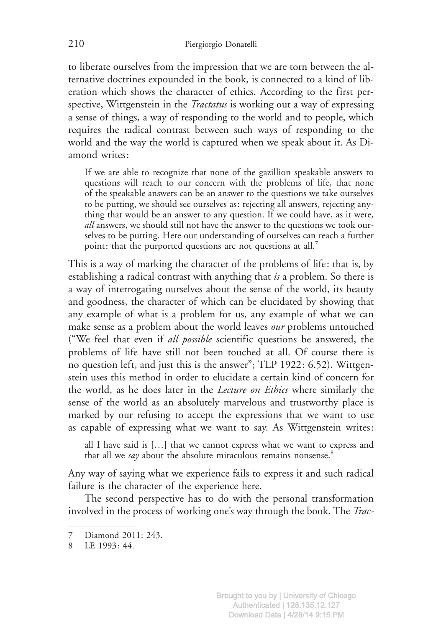to liberate ourselves from the impression that we are torn between the alternative doctrines expounded in the book, is connected to a kind of liberation which shows the character of ethics. According to the first perspective, Wittgenstein in the *Tractatus* is working out a way of expressing a sense of things, a way of responding to the world and to people, which requires the radical contrast between such ways of responding to the world and the way the world is captured when we speak about it. As Diamond writes:

If we are able to recognize that none of the gazillion speakable answers to questions will reach to our concern with the problems of life, that none of the speakable answers can be an answer to the questions we take ourselves to be putting, we should see ourselves as: rejecting all answers, rejecting anything that would be an answer to any question. If we could have, as it were, all answers, we should still not have the answer to the questions we took ourselves to be putting. Here our understanding of ourselves can reach a further point: that the purported questions are not questions at all.<sup>7</sup>

This is a way of marking the character of the problems of life: that is, by establishing a radical contrast with anything that is a problem. So there is a way of interrogating ourselves about the sense of the world, its beauty and goodness, the character of which can be elucidated by showing that any example of what is a problem for us, any example of what we can make sense as a problem about the world leaves our problems untouched ("We feel that even if all possible scientific questions be answered, the problems of life have still not been touched at all. Of course there is no question left, and just this is the answer"; TLP 1922: 6.52). Wittgenstein uses this method in order to elucidate a certain kind of concern for the world, as he does later in the Lecture on Ethics where similarly the sense of the world as an absolutely marvelous and trustworthy place is marked by our refusing to accept the expressions that we want to use as capable of expressing what we want to say. As Wittgenstein writes:

all I have said is […] that we cannot express what we want to express and that all we say about the absolute miraculous remains nonsense.<sup>8</sup>

Any way of saying what we experience fails to express it and such radical failure is the character of the experience here.

The second perspective has to do with the personal transformation involved in the process of working one's way through the book. The Trac-

<sup>7</sup> Diamond 2011: 243.

<sup>8</sup> LE 1993: 44.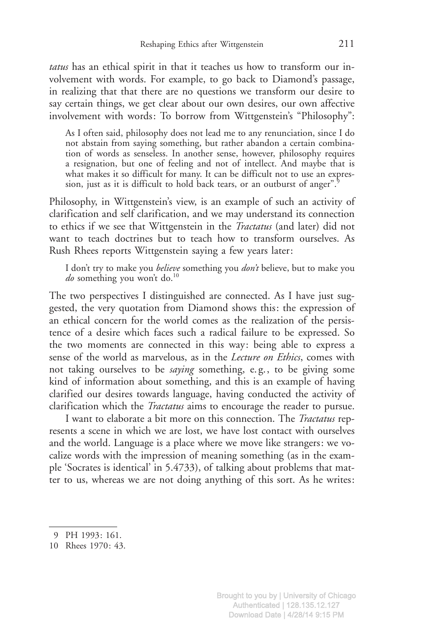tatus has an ethical spirit in that it teaches us how to transform our involvement with words. For example, to go back to Diamond's passage, in realizing that that there are no questions we transform our desire to say certain things, we get clear about our own desires, our own affective involvement with words: To borrow from Wittgenstein's "Philosophy":

As I often said, philosophy does not lead me to any renunciation, since I do not abstain from saying something, but rather abandon a certain combination of words as senseless. In another sense, however, philosophy requires a resignation, but one of feeling and not of intellect. And maybe that is what makes it so difficult for many. It can be difficult not to use an expression, just as it is difficult to hold back tears, or an outburst of anger".<sup>9</sup>

Philosophy, in Wittgenstein's view, is an example of such an activity of clarification and self clarification, and we may understand its connection to ethics if we see that Wittgenstein in the Tractatus (and later) did not want to teach doctrines but to teach how to transform ourselves. As Rush Rhees reports Wittgenstein saying a few years later:

I don't try to make you *believe* something you *don't* believe, but to make you  $do$  something you won't do.<sup>10</sup>

The two perspectives I distinguished are connected. As I have just suggested, the very quotation from Diamond shows this: the expression of an ethical concern for the world comes as the realization of the persistence of a desire which faces such a radical failure to be expressed. So the two moments are connected in this way: being able to express a sense of the world as marvelous, as in the *Lecture on Ethics*, comes with not taking ourselves to be *saying* something, e.g., to be giving some kind of information about something, and this is an example of having clarified our desires towards language, having conducted the activity of clarification which the Tractatus aims to encourage the reader to pursue.

I want to elaborate a bit more on this connection. The Tractatus represents a scene in which we are lost, we have lost contact with ourselves and the world. Language is a place where we move like strangers: we vocalize words with the impression of meaning something (as in the example 'Socrates is identical' in 5.4733), of talking about problems that matter to us, whereas we are not doing anything of this sort. As he writes:

<sup>9</sup> PH 1993: 161.

<sup>10</sup> Rhees 1970: 43.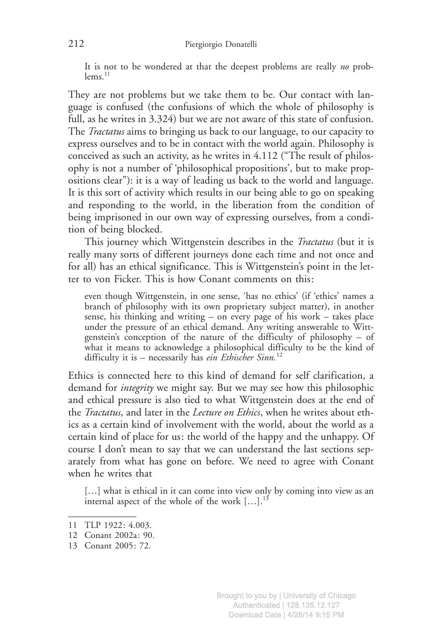It is not to be wondered at that the deepest problems are really no problems.<sup>11</sup>

They are not problems but we take them to be. Our contact with language is confused (the confusions of which the whole of philosophy is full, as he writes in 3.324) but we are not aware of this state of confusion. The *Tractatus* aims to bringing us back to our language, to our capacity to express ourselves and to be in contact with the world again. Philosophy is conceived as such an activity, as he writes in 4.112 ("The result of philosophy is not a number of 'philosophical propositions', but to make propositions clear"): it is a way of leading us back to the world and language. It is this sort of activity which results in our being able to go on speaking and responding to the world, in the liberation from the condition of being imprisoned in our own way of expressing ourselves, from a condition of being blocked.

This journey which Wittgenstein describes in the *Tractatus* (but it is really many sorts of different journeys done each time and not once and for all) has an ethical significance. This is Wittgenstein's point in the letter to von Ficker. This is how Conant comments on this:

even though Wittgenstein, in one sense, 'has no ethics' (if 'ethics' names a branch of philosophy with its own proprietary subject matter), in another sense, his thinking and writing – on every page of his work – takes place under the pressure of an ethical demand. Any writing answerable to Wittgenstein's conception of the nature of the difficulty of philosophy – of what it means to acknowledge a philosophical difficulty to be the kind of difficulty it is – necessarily has  $e^{i\hat{n}}$  Ethischer Sinn.<sup>12</sup>

Ethics is connected here to this kind of demand for self clarification, a demand for *integrity* we might say. But we may see how this philosophic and ethical pressure is also tied to what Wittgenstein does at the end of the Tractatus, and later in the Lecture on Ethics, when he writes about ethics as a certain kind of involvement with the world, about the world as a certain kind of place for us: the world of the happy and the unhappy. Of course I don't mean to say that we can understand the last sections separately from what has gone on before. We need to agree with Conant when he writes that

[...] what is ethical in it can come into view only by coming into view as an internal aspect of the whole of the work  $[...]$ .<sup>13</sup>

<sup>11</sup> TLP 1922: 4.003.

<sup>12</sup> Conant 2002a: 90.

<sup>13</sup> Conant 2005: 72.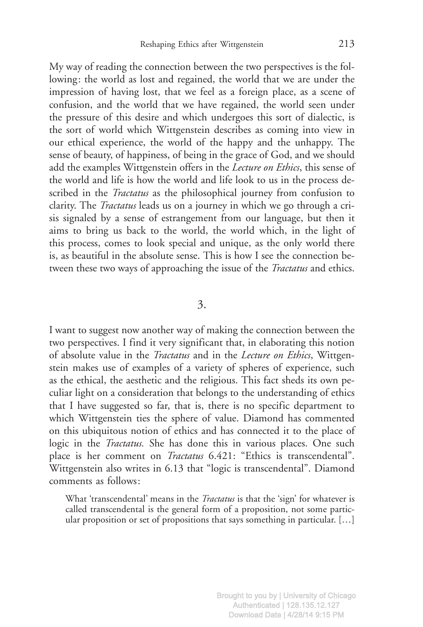My way of reading the connection between the two perspectives is the following: the world as lost and regained, the world that we are under the impression of having lost, that we feel as a foreign place, as a scene of confusion, and the world that we have regained, the world seen under the pressure of this desire and which undergoes this sort of dialectic, is the sort of world which Wittgenstein describes as coming into view in our ethical experience, the world of the happy and the unhappy. The sense of beauty, of happiness, of being in the grace of God, and we should add the examples Wittgenstein offers in the Lecture on Ethics, this sense of the world and life is how the world and life look to us in the process described in the *Tractatus* as the philosophical journey from confusion to clarity. The Tractatus leads us on a journey in which we go through a crisis signaled by a sense of estrangement from our language, but then it aims to bring us back to the world, the world which, in the light of this process, comes to look special and unique, as the only world there is, as beautiful in the absolute sense. This is how I see the connection between these two ways of approaching the issue of the *Tractatus* and ethics.

## 3.

I want to suggest now another way of making the connection between the two perspectives. I find it very significant that, in elaborating this notion of absolute value in the Tractatus and in the Lecture on Ethics, Wittgenstein makes use of examples of a variety of spheres of experience, such as the ethical, the aesthetic and the religious. This fact sheds its own peculiar light on a consideration that belongs to the understanding of ethics that I have suggested so far, that is, there is no specific department to which Wittgenstein ties the sphere of value. Diamond has commented on this ubiquitous notion of ethics and has connected it to the place of logic in the *Tractatus*. She has done this in various places. One such place is her comment on *Tractatus* 6.421: "Ethics is transcendental". Wittgenstein also writes in 6.13 that "logic is transcendental". Diamond comments as follows:

What 'transcendental' means in the *Tractatus* is that the 'sign' for whatever is called transcendental is the general form of a proposition, not some particular proposition or set of propositions that says something in particular. […]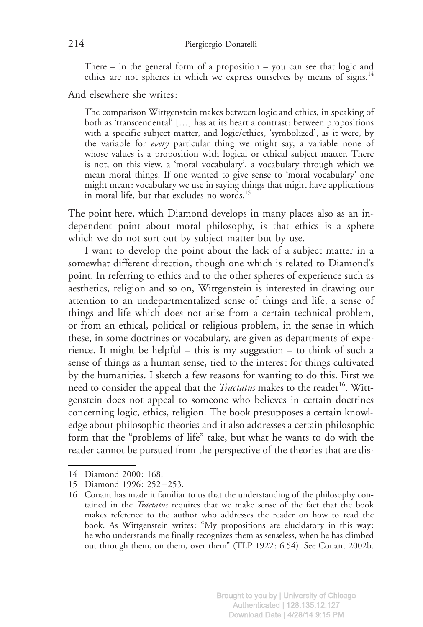There – in the general form of a proposition – you can see that logic and ethics are not spheres in which we express ourselves by means of signs.<sup>14</sup>

And elsewhere she writes:

The comparison Wittgenstein makes between logic and ethics, in speaking of both as 'transcendental' […] has at its heart a contrast: between propositions with a specific subject matter, and logic/ethics, 'symbolized', as it were, by the variable for every particular thing we might say, a variable none of whose values is a proposition with logical or ethical subject matter. There is not, on this view, a 'moral vocabulary', a vocabulary through which we mean moral things. If one wanted to give sense to 'moral vocabulary' one might mean: vocabulary we use in saying things that might have applications in moral life, but that excludes no words.<sup>15</sup>

The point here, which Diamond develops in many places also as an independent point about moral philosophy, is that ethics is a sphere which we do not sort out by subject matter but by use.

I want to develop the point about the lack of a subject matter in a somewhat different direction, though one which is related to Diamond's point. In referring to ethics and to the other spheres of experience such as aesthetics, religion and so on, Wittgenstein is interested in drawing our attention to an undepartmentalized sense of things and life, a sense of things and life which does not arise from a certain technical problem, or from an ethical, political or religious problem, in the sense in which these, in some doctrines or vocabulary, are given as departments of experience. It might be helpful – this is my suggestion – to think of such a sense of things as a human sense, tied to the interest for things cultivated by the humanities. I sketch a few reasons for wanting to do this. First we need to consider the appeal that the *Tractatus* makes to the reader<sup>16</sup>. Wittgenstein does not appeal to someone who believes in certain doctrines concerning logic, ethics, religion. The book presupposes a certain knowledge about philosophic theories and it also addresses a certain philosophic form that the "problems of life" take, but what he wants to do with the reader cannot be pursued from the perspective of the theories that are dis-

<sup>14</sup> Diamond 2000: 168.

<sup>15</sup> Diamond 1996: 252 – 253.

<sup>16</sup> Conant has made it familiar to us that the understanding of the philosophy contained in the *Tractatus* requires that we make sense of the fact that the book makes reference to the author who addresses the reader on how to read the book. As Wittgenstein writes: "My propositions are elucidatory in this way: he who understands me finally recognizes them as senseless, when he has climbed out through them, on them, over them" (TLP 1922: 6.54). See Conant 2002b.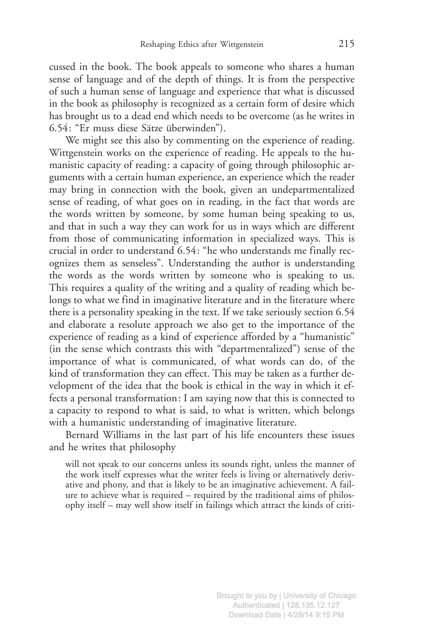cussed in the book. The book appeals to someone who shares a human sense of language and of the depth of things. It is from the perspective of such a human sense of language and experience that what is discussed in the book as philosophy is recognized as a certain form of desire which has brought us to a dead end which needs to be overcome (as he writes in 6.54: "Er muss diese Sätze überwinden").

We might see this also by commenting on the experience of reading. Wittgenstein works on the experience of reading. He appeals to the humanistic capacity of reading: a capacity of going through philosophic arguments with a certain human experience, an experience which the reader may bring in connection with the book, given an undepartmentalized sense of reading, of what goes on in reading, in the fact that words are the words written by someone, by some human being speaking to us, and that in such a way they can work for us in ways which are different from those of communicating information in specialized ways. This is crucial in order to understand 6.54: "he who understands me finally recognizes them as senseless". Understanding the author is understanding the words as the words written by someone who is speaking to us. This requires a quality of the writing and a quality of reading which belongs to what we find in imaginative literature and in the literature where there is a personality speaking in the text. If we take seriously section 6.54 and elaborate a resolute approach we also get to the importance of the experience of reading as a kind of experience afforded by a "humanistic" (in the sense which contrasts this with "departmentalized") sense of the importance of what is communicated, of what words can do, of the kind of transformation they can effect. This may be taken as a further development of the idea that the book is ethical in the way in which it effects a personal transformation: I am saying now that this is connected to a capacity to respond to what is said, to what is written, which belongs with a humanistic understanding of imaginative literature.

Bernard Williams in the last part of his life encounters these issues and he writes that philosophy

will not speak to our concerns unless its sounds right, unless the manner of the work itself expresses what the writer feels is living or alternatively derivative and phony, and that is likely to be an imaginative achievement. A failure to achieve what is required – required by the traditional aims of philosophy itself – may well show itself in failings which attract the kinds of criti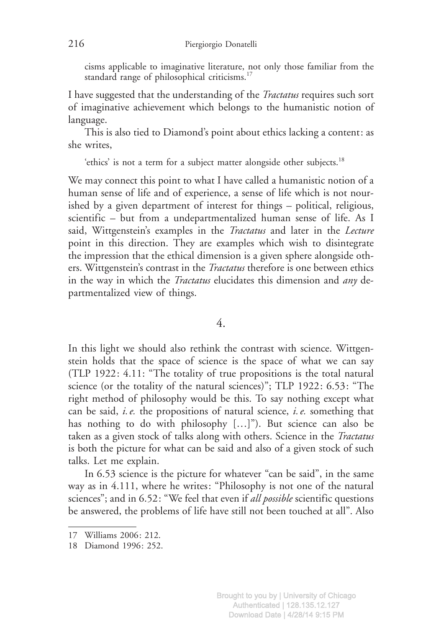cisms applicable to imaginative literature, not only those familiar from the standard range of philosophical criticisms.<sup>17</sup>

I have suggested that the understanding of the *Tractatus* requires such sort of imaginative achievement which belongs to the humanistic notion of language.

This is also tied to Diamond's point about ethics lacking a content: as she writes,

'ethics' is not a term for a subject matter alongside other subjects.<sup>18</sup>

We may connect this point to what I have called a humanistic notion of a human sense of life and of experience, a sense of life which is not nourished by a given department of interest for things – political, religious, scientific – but from a undepartmentalized human sense of life. As I said, Wittgenstein's examples in the *Tractatus* and later in the Lecture point in this direction. They are examples which wish to disintegrate the impression that the ethical dimension is a given sphere alongside others. Wittgenstein's contrast in the *Tractatus* therefore is one between ethics in the way in which the *Tractatus* elucidates this dimension and *any* departmentalized view of things.

4.

In this light we should also rethink the contrast with science. Wittgenstein holds that the space of science is the space of what we can say (TLP 1922: 4.11: "The totality of true propositions is the total natural science (or the totality of the natural sciences)"; TLP 1922: 6.53: "The right method of philosophy would be this. To say nothing except what can be said, *i.e.* the propositions of natural science, *i.e.* something that has nothing to do with philosophy […]"). But science can also be taken as a given stock of talks along with others. Science in the Tractatus is both the picture for what can be said and also of a given stock of such talks. Let me explain.

In 6.53 science is the picture for whatever "can be said", in the same way as in 4.111, where he writes: "Philosophy is not one of the natural sciences"; and in 6.52: "We feel that even if *all possible* scientific questions be answered, the problems of life have still not been touched at all". Also

<sup>17</sup> Williams 2006: 212.

<sup>18</sup> Diamond 1996: 252.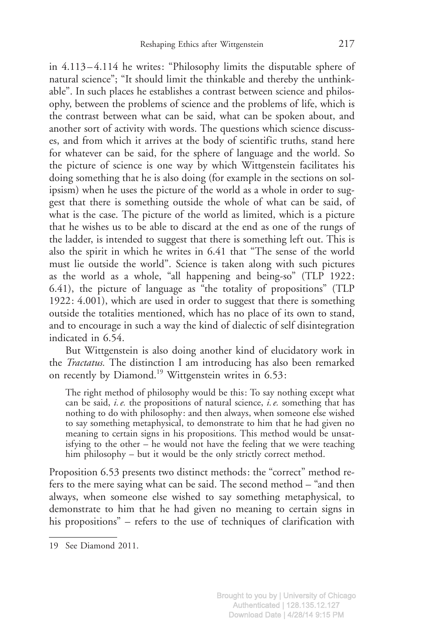in 4.113 – 4.114 he writes: "Philosophy limits the disputable sphere of natural science"; "It should limit the thinkable and thereby the unthinkable". In such places he establishes a contrast between science and philosophy, between the problems of science and the problems of life, which is the contrast between what can be said, what can be spoken about, and another sort of activity with words. The questions which science discusses, and from which it arrives at the body of scientific truths, stand here for whatever can be said, for the sphere of language and the world. So the picture of science is one way by which Wittgenstein facilitates his doing something that he is also doing (for example in the sections on solipsism) when he uses the picture of the world as a whole in order to suggest that there is something outside the whole of what can be said, of what is the case. The picture of the world as limited, which is a picture that he wishes us to be able to discard at the end as one of the rungs of the ladder, is intended to suggest that there is something left out. This is also the spirit in which he writes in 6.41 that "The sense of the world must lie outside the world". Science is taken along with such pictures as the world as a whole, "all happening and being-so" (TLP 1922: 6.41), the picture of language as "the totality of propositions" (TLP 1922: 4.001), which are used in order to suggest that there is something outside the totalities mentioned, which has no place of its own to stand, and to encourage in such a way the kind of dialectic of self disintegration indicated in 6.54.

But Wittgenstein is also doing another kind of elucidatory work in the Tractatus. The distinction I am introducing has also been remarked on recently by Diamond.<sup>19</sup> Wittgenstein writes in 6.53:

The right method of philosophy would be this: To say nothing except what can be said, i.e. the propositions of natural science, i.e. something that has nothing to do with philosophy: and then always, when someone else wished to say something metaphysical, to demonstrate to him that he had given no meaning to certain signs in his propositions. This method would be unsatisfying to the other – he would not have the feeling that we were teaching him philosophy – but it would be the only strictly correct method.

Proposition 6.53 presents two distinct methods: the "correct" method refers to the mere saying what can be said. The second method – "and then always, when someone else wished to say something metaphysical, to demonstrate to him that he had given no meaning to certain signs in his propositions" – refers to the use of techniques of clarification with

<sup>19</sup> See Diamond 2011.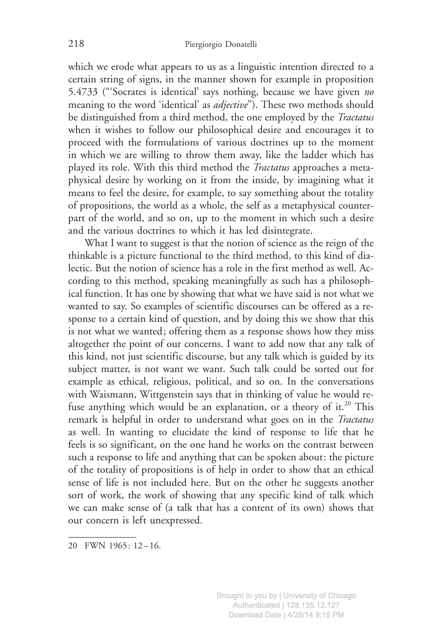which we erode what appears to us as a linguistic intention directed to a certain string of signs, in the manner shown for example in proposition 5.4733 ("'Socrates is identical' says nothing, because we have given no meaning to the word 'identical' as *adjective*"). These two methods should be distinguished from a third method, the one employed by the Tractatus when it wishes to follow our philosophical desire and encourages it to proceed with the formulations of various doctrines up to the moment in which we are willing to throw them away, like the ladder which has played its role. With this third method the Tractatus approaches a metaphysical desire by working on it from the inside, by imagining what it means to feel the desire, for example, to say something about the totality of propositions, the world as a whole, the self as a metaphysical counterpart of the world, and so on, up to the moment in which such a desire and the various doctrines to which it has led disintegrate.

What I want to suggest is that the notion of science as the reign of the thinkable is a picture functional to the third method, to this kind of dialectic. But the notion of science has a role in the first method as well. According to this method, speaking meaningfully as such has a philosophical function. It has one by showing that what we have said is not what we wanted to say. So examples of scientific discourses can be offered as a response to a certain kind of question, and by doing this we show that this is not what we wanted; offering them as a response shows how they miss altogether the point of our concerns. I want to add now that any talk of this kind, not just scientific discourse, but any talk which is guided by its subject matter, is not want we want. Such talk could be sorted out for example as ethical, religious, political, and so on. In the conversations with Waismann, Wittgenstein says that in thinking of value he would refuse anything which would be an explanation, or a theory of it.<sup>20</sup> This remark is helpful in order to understand what goes on in the Tractatus as well. In wanting to elucidate the kind of response to life that he feels is so significant, on the one hand he works on the contrast between such a response to life and anything that can be spoken about: the picture of the totality of propositions is of help in order to show that an ethical sense of life is not included here. But on the other he suggests another sort of work, the work of showing that any specific kind of talk which we can make sense of (a talk that has a content of its own) shows that our concern is left unexpressed.

20 FWN 1965: 12 – 16.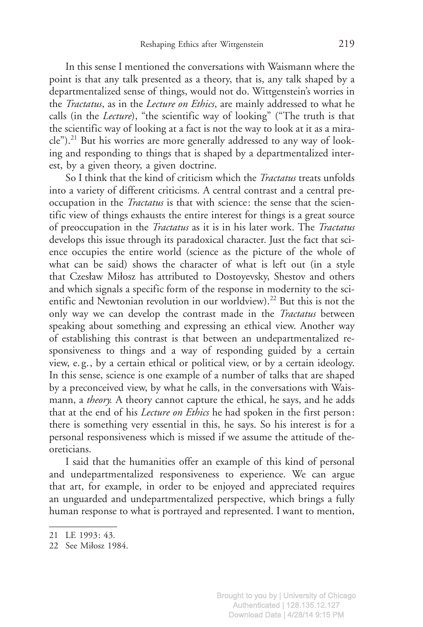In this sense I mentioned the conversations with Waismann where the point is that any talk presented as a theory, that is, any talk shaped by a departmentalized sense of things, would not do. Wittgenstein's worries in the *Tractatus*, as in the *Lecture on Ethics*, are mainly addressed to what he calls (in the Lecture), "the scientific way of looking" ("The truth is that the scientific way of looking at a fact is not the way to look at it as a mira $cle$ ").<sup>21</sup> But his worries are more generally addressed to any way of looking and responding to things that is shaped by a departmentalized interest, by a given theory, a given doctrine.

So I think that the kind of criticism which the *Tractatus* treats unfolds into a variety of different criticisms. A central contrast and a central preoccupation in the *Tractatus* is that with science: the sense that the scientific view of things exhausts the entire interest for things is a great source of preoccupation in the *Tractatus* as it is in his later work. The *Tractatus* develops this issue through its paradoxical character. Just the fact that science occupies the entire world (science as the picture of the whole of what can be said) shows the character of what is left out (in a style that Czesław Miłosz has attributed to Dostoyevsky, Shestov and others and which signals a specific form of the response in modernity to the scientific and Newtonian revolution in our worldview).<sup>22</sup> But this is not the only way we can develop the contrast made in the Tractatus between speaking about something and expressing an ethical view. Another way of establishing this contrast is that between an undepartmentalized responsiveness to things and a way of responding guided by a certain view, e. g., by a certain ethical or political view, or by a certain ideology. In this sense, science is one example of a number of talks that are shaped by a preconceived view, by what he calls, in the conversations with Waismann, a *theory*. A theory cannot capture the ethical, he says, and he adds that at the end of his *Lecture on Ethics* he had spoken in the first person: there is something very essential in this, he says. So his interest is for a personal responsiveness which is missed if we assume the attitude of theoreticians.

I said that the humanities offer an example of this kind of personal and undepartmentalized responsiveness to experience. We can argue that art, for example, in order to be enjoyed and appreciated requires an unguarded and undepartmentalized perspective, which brings a fully human response to what is portrayed and represented. I want to mention,

<sup>21</sup> LE 1993: 43.

<sup>22</sup> See Miłosz 1984.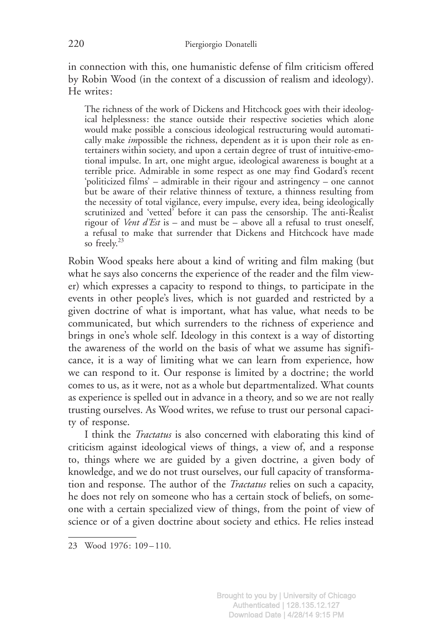in connection with this, one humanistic defense of film criticism offered by Robin Wood (in the context of a discussion of realism and ideology). He writes:

The richness of the work of Dickens and Hitchcock goes with their ideological helplessness: the stance outside their respective societies which alone would make possible a conscious ideological restructuring would automatically make *impossible the richness*, dependent as it is upon their role as entertainers within society, and upon a certain degree of trust of intuitive-emotional impulse. In art, one might argue, ideological awareness is bought at a terrible price. Admirable in some respect as one may find Godard's recent 'politicized films' – admirable in their rigour and astringency – one cannot but be aware of their relative thinness of texture, a thinness resulting from the necessity of total vigilance, every impulse, every idea, being ideologically scrutinized and 'vetted' before it can pass the censorship. The anti-Realist rigour of *Vent d'Est* is – and must be – above all a refusal to trust oneself, a refusal to make that surrender that Dickens and Hitchcock have made so freely.<sup>23</sup>

Robin Wood speaks here about a kind of writing and film making (but what he says also concerns the experience of the reader and the film viewer) which expresses a capacity to respond to things, to participate in the events in other people's lives, which is not guarded and restricted by a given doctrine of what is important, what has value, what needs to be communicated, but which surrenders to the richness of experience and brings in one's whole self. Ideology in this context is a way of distorting the awareness of the world on the basis of what we assume has significance, it is a way of limiting what we can learn from experience, how we can respond to it. Our response is limited by a doctrine; the world comes to us, as it were, not as a whole but departmentalized. What counts as experience is spelled out in advance in a theory, and so we are not really trusting ourselves. As Wood writes, we refuse to trust our personal capacity of response.

I think the *Tractatus* is also concerned with elaborating this kind of criticism against ideological views of things, a view of, and a response to, things where we are guided by a given doctrine, a given body of knowledge, and we do not trust ourselves, our full capacity of transformation and response. The author of the Tractatus relies on such a capacity, he does not rely on someone who has a certain stock of beliefs, on someone with a certain specialized view of things, from the point of view of science or of a given doctrine about society and ethics. He relies instead

<sup>23</sup> Wood 1976: 109 – 110.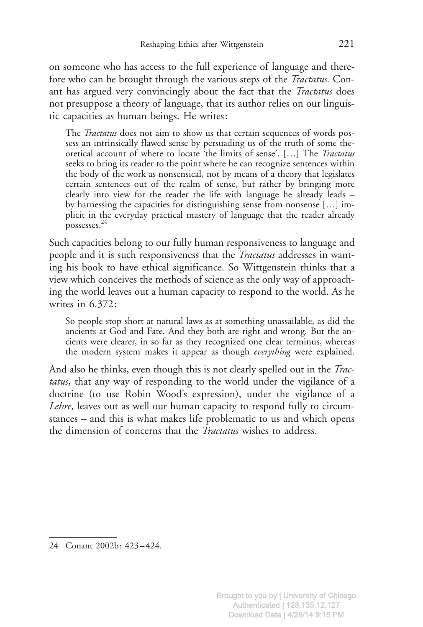on someone who has access to the full experience of language and therefore who can be brought through the various steps of the *Tractatus*. Conant has argued very convincingly about the fact that the *Tractatus* does not presuppose a theory of language, that its author relies on our linguistic capacities as human beings. He writes:

The *Tractatus* does not aim to show us that certain sequences of words possess an intrinsically flawed sense by persuading us of the truth of some theoretical account of where to locate 'the limits of sense'. […] The Tractatus seeks to bring its reader to the point where he can recognize sentences within the body of the work as nonsensical, not by means of a theory that legislates certain sentences out of the realm of sense, but rather by bringing more clearly into view for the reader the life with language he already leads – by harnessing the capacities for distinguishing sense from nonsense […] implicit in the everyday practical mastery of language that the reader already possesses.24

Such capacities belong to our fully human responsiveness to language and people and it is such responsiveness that the *Tractatus* addresses in wanting his book to have ethical significance. So Wittgenstein thinks that a view which conceives the methods of science as the only way of approaching the world leaves out a human capacity to respond to the world. As he writes in 6.372:

So people stop short at natural laws as at something unassailable, as did the ancients at God and Fate. And they both are right and wrong. But the ancients were clearer, in so far as they recognized one clear terminus, whereas the modern system makes it appear as though everything were explained.

And also he thinks, even though this is not clearly spelled out in the Tractatus, that any way of responding to the world under the vigilance of a doctrine (to use Robin Wood's expression), under the vigilance of a Lehre, leaves out as well our human capacity to respond fully to circumstances – and this is what makes life problematic to us and which opens the dimension of concerns that the *Tractatus* wishes to address.

<sup>24</sup> Conant 2002b: 423 – 424.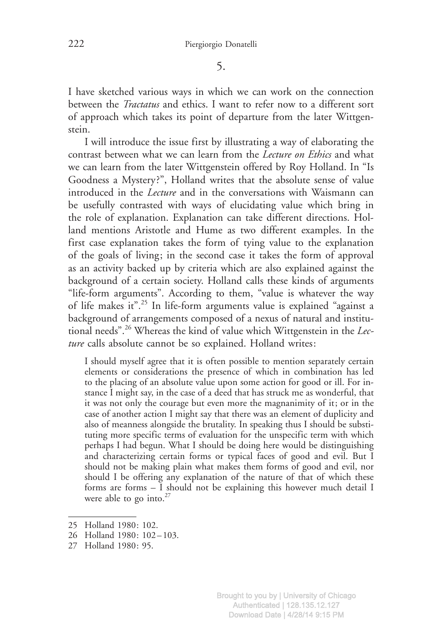5.

I have sketched various ways in which we can work on the connection between the Tractatus and ethics. I want to refer now to a different sort of approach which takes its point of departure from the later Wittgenstein.

I will introduce the issue first by illustrating a way of elaborating the contrast between what we can learn from the Lecture on Ethics and what we can learn from the later Wittgenstein offered by Roy Holland. In "Is Goodness a Mystery ?", Holland writes that the absolute sense of value introduced in the Lecture and in the conversations with Waismann can be usefully contrasted with ways of elucidating value which bring in the role of explanation. Explanation can take different directions. Holland mentions Aristotle and Hume as two different examples. In the first case explanation takes the form of tying value to the explanation of the goals of living; in the second case it takes the form of approval as an activity backed up by criteria which are also explained against the background of a certain society. Holland calls these kinds of arguments "life-form arguments". According to them, "value is whatever the way of life makes it".<sup>25</sup> In life-form arguments value is explained "against a background of arrangements composed of a nexus of natural and institutional needs".<sup>26</sup> Whereas the kind of value which Wittgenstein in the Lecture calls absolute cannot be so explained. Holland writes:

I should myself agree that it is often possible to mention separately certain elements or considerations the presence of which in combination has led to the placing of an absolute value upon some action for good or ill. For instance I might say, in the case of a deed that has struck me as wonderful, that it was not only the courage but even more the magnanimity of it; or in the case of another action I might say that there was an element of duplicity and also of meanness alongside the brutality. In speaking thus I should be substituting more specific terms of evaluation for the unspecific term with which perhaps I had begun. What I should be doing here would be distinguishing and characterizing certain forms or typical faces of good and evil. But I should not be making plain what makes them forms of good and evil, nor should I be offering any explanation of the nature of that of which these forms are forms – I should not be explaining this however much detail I were able to go into. $27$ 

- 26 Holland 1980: 102 103.
- 27 Holland 1980: 95.

<sup>25</sup> Holland 1980: 102.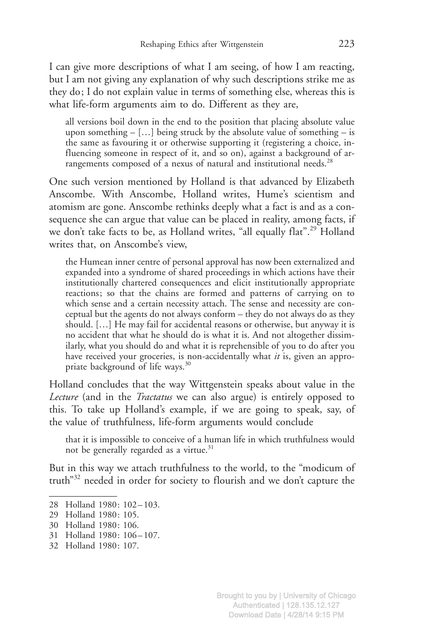I can give more descriptions of what I am seeing, of how I am reacting, but I am not giving any explanation of why such descriptions strike me as they do; I do not explain value in terms of something else, whereas this is what life-form arguments aim to do. Different as they are,

all versions boil down in the end to the position that placing absolute value upon something  $-$  [...] being struck by the absolute value of something  $-$  is the same as favouring it or otherwise supporting it (registering a choice, influencing someone in respect of it, and so on), against a background of arrangements composed of a nexus of natural and institutional needs.<sup>28</sup>

One such version mentioned by Holland is that advanced by Elizabeth Anscombe. With Anscombe, Holland writes, Hume's scientism and atomism are gone. Anscombe rethinks deeply what a fact is and as a consequence she can argue that value can be placed in reality, among facts, if we don't take facts to be, as Holland writes, "all equally flat".<sup>29</sup> Holland writes that, on Anscombe's view,

the Humean inner centre of personal approval has now been externalized and expanded into a syndrome of shared proceedings in which actions have their institutionally chartered consequences and elicit institutionally appropriate reactions; so that the chains are formed and patterns of carrying on to which sense and a certain necessity attach. The sense and necessity are conceptual but the agents do not always conform – they do not always do as they should. […] He may fail for accidental reasons or otherwise, but anyway it is no accident that what he should do is what it is. And not altogether dissimilarly, what you should do and what it is reprehensible of you to do after you have received your groceries, is non-accidentally what *it* is, given an appropriate background of life ways.<sup>30</sup>

Holland concludes that the way Wittgenstein speaks about value in the Lecture (and in the Tractatus we can also argue) is entirely opposed to this. To take up Holland's example, if we are going to speak, say, of the value of truthfulness, life-form arguments would conclude

that it is impossible to conceive of a human life in which truthfulness would not be generally regarded as a virtue. $31$ 

But in this way we attach truthfulness to the world, to the "modicum of truth"32 needed in order for society to flourish and we don't capture the

- 31 Holland 1980: 106-107.
- 32 Holland 1980: 107.

<sup>28</sup> Holland 1980: 102-103.

<sup>29</sup> Holland 1980: 105.

<sup>30</sup> Holland 1980: 106.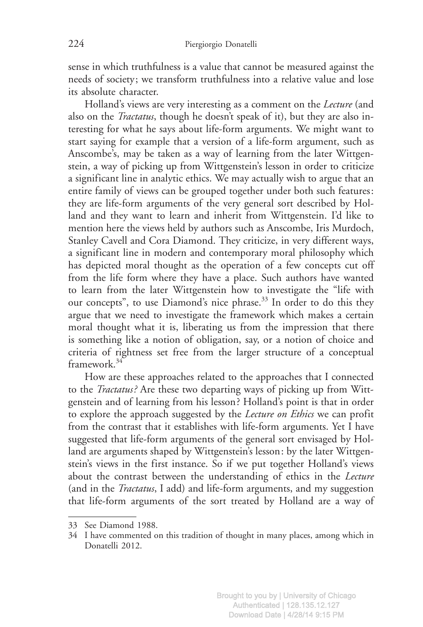sense in which truthfulness is a value that cannot be measured against the needs of society; we transform truthfulness into a relative value and lose its absolute character.

Holland's views are very interesting as a comment on the *Lecture* (and also on the Tractatus, though he doesn't speak of it), but they are also interesting for what he says about life-form arguments. We might want to start saying for example that a version of a life-form argument, such as Anscombe's, may be taken as a way of learning from the later Wittgenstein, a way of picking up from Wittgenstein's lesson in order to criticize a significant line in analytic ethics. We may actually wish to argue that an entire family of views can be grouped together under both such features: they are life-form arguments of the very general sort described by Holland and they want to learn and inherit from Wittgenstein. I'd like to mention here the views held by authors such as Anscombe, Iris Murdoch, Stanley Cavell and Cora Diamond. They criticize, in very different ways, a significant line in modern and contemporary moral philosophy which has depicted moral thought as the operation of a few concepts cut off from the life form where they have a place. Such authors have wanted to learn from the later Wittgenstein how to investigate the "life with our concepts", to use Diamond's nice phrase.<sup>33</sup> In order to do this they argue that we need to investigate the framework which makes a certain moral thought what it is, liberating us from the impression that there is something like a notion of obligation, say, or a notion of choice and criteria of rightness set free from the larger structure of a conceptual framework<sup>34</sup>

How are these approaches related to the approaches that I connected to the *Tractatus?* Are these two departing ways of picking up from Wittgenstein and of learning from his lesson ? Holland's point is that in order to explore the approach suggested by the Lecture on Ethics we can profit from the contrast that it establishes with life-form arguments. Yet I have suggested that life-form arguments of the general sort envisaged by Holland are arguments shaped by Wittgenstein's lesson: by the later Wittgenstein's views in the first instance. So if we put together Holland's views about the contrast between the understanding of ethics in the Lecture (and in the Tractatus, I add) and life-form arguments, and my suggestion that life-form arguments of the sort treated by Holland are a way of

<sup>33</sup> See Diamond 1988.

<sup>34</sup> I have commented on this tradition of thought in many places, among which in Donatelli 2012.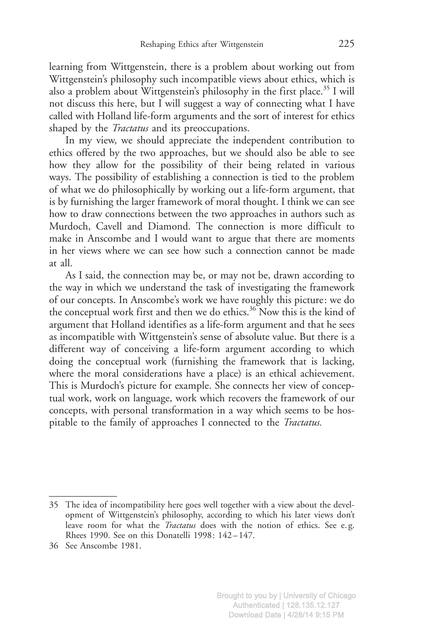learning from Wittgenstein, there is a problem about working out from Wittgenstein's philosophy such incompatible views about ethics, which is also a problem about Wittgenstein's philosophy in the first place.<sup>35</sup> I will not discuss this here, but I will suggest a way of connecting what I have called with Holland life-form arguments and the sort of interest for ethics shaped by the *Tractatus* and its preoccupations.

In my view, we should appreciate the independent contribution to ethics offered by the two approaches, but we should also be able to see how they allow for the possibility of their being related in various ways. The possibility of establishing a connection is tied to the problem of what we do philosophically by working out a life-form argument, that is by furnishing the larger framework of moral thought. I think we can see how to draw connections between the two approaches in authors such as Murdoch, Cavell and Diamond. The connection is more difficult to make in Anscombe and I would want to argue that there are moments in her views where we can see how such a connection cannot be made at all.

As I said, the connection may be, or may not be, drawn according to the way in which we understand the task of investigating the framework of our concepts. In Anscombe's work we have roughly this picture: we do the conceptual work first and then we do ethics.<sup>36</sup> Now this is the kind of argument that Holland identifies as a life-form argument and that he sees as incompatible with Wittgenstein's sense of absolute value. But there is a different way of conceiving a life-form argument according to which doing the conceptual work (furnishing the framework that is lacking, where the moral considerations have a place) is an ethical achievement. This is Murdoch's picture for example. She connects her view of conceptual work, work on language, work which recovers the framework of our concepts, with personal transformation in a way which seems to be hospitable to the family of approaches I connected to the Tractatus.

<sup>35</sup> The idea of incompatibility here goes well together with a view about the development of Wittgenstein's philosophy, according to which his later views don't leave room for what the *Tractatus* does with the notion of ethics. See e.g. Rhees 1990. See on this Donatelli 1998: 142-147.

<sup>36</sup> See Anscombe 1981.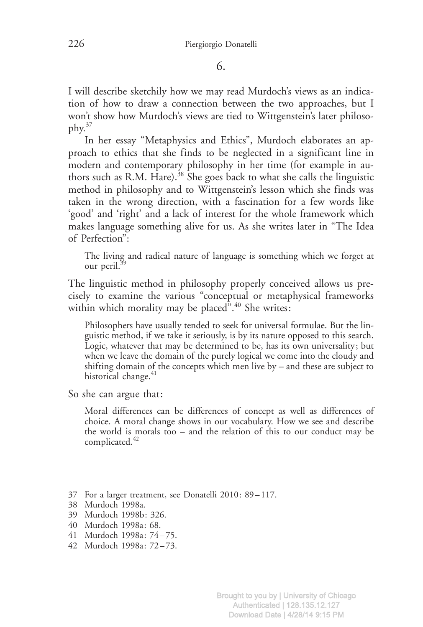6.

I will describe sketchily how we may read Murdoch's views as an indication of how to draw a connection between the two approaches, but I won't show how Murdoch's views are tied to Wittgenstein's later philosophy.<sup>37</sup>

In her essay "Metaphysics and Ethics", Murdoch elaborates an approach to ethics that she finds to be neglected in a significant line in modern and contemporary philosophy in her time (for example in authors such as R.M. Hare).<sup>38</sup> She goes back to what she calls the linguistic method in philosophy and to Wittgenstein's lesson which she finds was taken in the wrong direction, with a fascination for a few words like 'good' and 'right' and a lack of interest for the whole framework which makes language something alive for us. As she writes later in "The Idea of Perfection":

The living and radical nature of language is something which we forget at our peril.<sup>39</sup>

The linguistic method in philosophy properly conceived allows us precisely to examine the various "conceptual or metaphysical frameworks within which morality may be placed".<sup>40</sup> She writes:

Philosophers have usually tended to seek for universal formulae. But the linguistic method, if we take it seriously, is by its nature opposed to this search. Logic, whatever that may be determined to be, has its own universality; but when we leave the domain of the purely logical we come into the cloudy and shifting domain of the concepts which men live by – and these are subject to historical change.<sup>41</sup>

So she can argue that:

Moral differences can be differences of concept as well as differences of choice. A moral change shows in our vocabulary. How we see and describe the world is morals too – and the relation of this to our conduct may be complicated.<sup>42</sup>

<sup>37</sup> For a larger treatment, see Donatelli 2010: 89 – 117.

<sup>38</sup> Murdoch 1998a.

<sup>39</sup> Murdoch 1998b: 326.

<sup>40</sup> Murdoch 1998a: 68.

<sup>41</sup> Murdoch 1998a: 74 – 75.

<sup>42</sup> Murdoch 1998a: 72 – 73.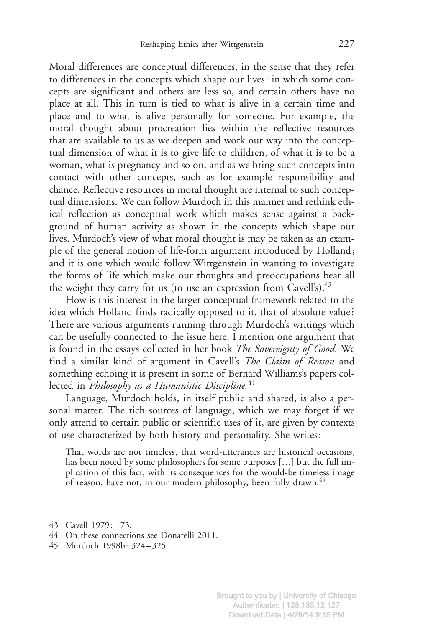Moral differences are conceptual differences, in the sense that they refer to differences in the concepts which shape our lives: in which some concepts are significant and others are less so, and certain others have no place at all. This in turn is tied to what is alive in a certain time and place and to what is alive personally for someone. For example, the moral thought about procreation lies within the reflective resources that are available to us as we deepen and work our way into the conceptual dimension of what it is to give life to children, of what it is to be a woman, what is pregnancy and so on, and as we bring such concepts into contact with other concepts, such as for example responsibility and chance. Reflective resources in moral thought are internal to such conceptual dimensions. We can follow Murdoch in this manner and rethink ethical reflection as conceptual work which makes sense against a background of human activity as shown in the concepts which shape our lives. Murdoch's view of what moral thought is may be taken as an example of the general notion of life-form argument introduced by Holland; and it is one which would follow Wittgenstein in wanting to investigate the forms of life which make our thoughts and preoccupations bear all the weight they carry for us (to use an expression from Cavell's).  $43$ 

How is this interest in the larger conceptual framework related to the idea which Holland finds radically opposed to it, that of absolute value ? There are various arguments running through Murdoch's writings which can be usefully connected to the issue here. I mention one argument that is found in the essays collected in her book The Sovereignty of Good. We find a similar kind of argument in Cavell's The Claim of Reason and something echoing it is present in some of Bernard Williams's papers collected in Philosophy as a Humanistic Discipline.<sup>44</sup>

Language, Murdoch holds, in itself public and shared, is also a personal matter. The rich sources of language, which we may forget if we only attend to certain public or scientific uses of it, are given by contexts of use characterized by both history and personality. She writes:

That words are not timeless, that word-utterances are historical occasions, has been noted by some philosophers for some purposes […] but the full implication of this fact, with its consequences for the would-be timeless image of reason, have not, in our modern philosophy, been fully drawn.<sup>45</sup>

45 Murdoch 1998b: 324 – 325.

<sup>43</sup> Cavell 1979: 173.

<sup>44</sup> On these connections see Donatelli 2011.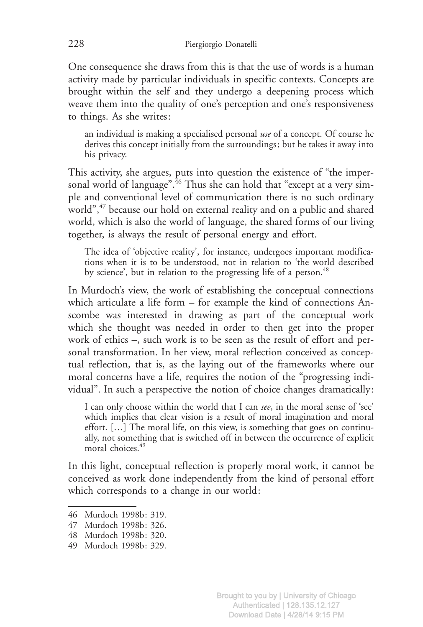One consequence she draws from this is that the use of words is a human activity made by particular individuals in specific contexts. Concepts are brought within the self and they undergo a deepening process which weave them into the quality of one's perception and one's responsiveness to things. As she writes:

an individual is making a specialised personal use of a concept. Of course he derives this concept initially from the surroundings; but he takes it away into his privacy.

This activity, she argues, puts into question the existence of "the impersonal world of language".<sup>46</sup> Thus she can hold that "except at a very simple and conventional level of communication there is no such ordinary world",<sup>47</sup> because our hold on external reality and on a public and shared world, which is also the world of language, the shared forms of our living together, is always the result of personal energy and effort.

The idea of 'objective reality', for instance, undergoes important modifications when it is to be understood, not in relation to 'the world described by science', but in relation to the progressing life of a person.<sup>48</sup>

In Murdoch's view, the work of establishing the conceptual connections which articulate a life form – for example the kind of connections Anscombe was interested in drawing as part of the conceptual work which she thought was needed in order to then get into the proper work of ethics –, such work is to be seen as the result of effort and personal transformation. In her view, moral reflection conceived as conceptual reflection, that is, as the laying out of the frameworks where our moral concerns have a life, requires the notion of the "progressing individual". In such a perspective the notion of choice changes dramatically:

I can only choose within the world that I can see, in the moral sense of 'see' which implies that clear vision is a result of moral imagination and moral effort. […] The moral life, on this view, is something that goes on continually, not something that is switched off in between the occurrence of explicit moral choices.<sup>49</sup>

In this light, conceptual reflection is properly moral work, it cannot be conceived as work done independently from the kind of personal effort which corresponds to a change in our world:

<sup>46</sup> Murdoch 1998b: 319.

<sup>47</sup> Murdoch 1998b: 326.

<sup>48</sup> Murdoch 1998b: 320.

<sup>49</sup> Murdoch 1998b: 329.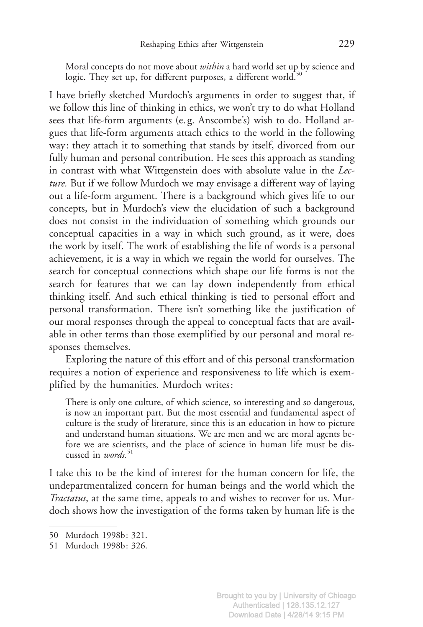Moral concepts do not move about *within* a hard world set up by science and logic. They set up, for different purposes, a different world.<sup>50</sup>

I have briefly sketched Murdoch's arguments in order to suggest that, if we follow this line of thinking in ethics, we won't try to do what Holland sees that life-form arguments (e. g. Anscombe's) wish to do. Holland argues that life-form arguments attach ethics to the world in the following way: they attach it to something that stands by itself, divorced from our fully human and personal contribution. He sees this approach as standing in contrast with what Wittgenstein does with absolute value in the Lecture. But if we follow Murdoch we may envisage a different way of laying out a life-form argument. There is a background which gives life to our concepts, but in Murdoch's view the elucidation of such a background does not consist in the individuation of something which grounds our conceptual capacities in a way in which such ground, as it were, does the work by itself. The work of establishing the life of words is a personal achievement, it is a way in which we regain the world for ourselves. The search for conceptual connections which shape our life forms is not the search for features that we can lay down independently from ethical thinking itself. And such ethical thinking is tied to personal effort and personal transformation. There isn't something like the justification of our moral responses through the appeal to conceptual facts that are available in other terms than those exemplified by our personal and moral responses themselves.

Exploring the nature of this effort and of this personal transformation requires a notion of experience and responsiveness to life which is exemplified by the humanities. Murdoch writes:

There is only one culture, of which science, so interesting and so dangerous, is now an important part. But the most essential and fundamental aspect of culture is the study of literature, since this is an education in how to picture and understand human situations. We are men and we are moral agents before we are scientists, and the place of science in human life must be discussed in *words*.<sup>51</sup>

I take this to be the kind of interest for the human concern for life, the undepartmentalized concern for human beings and the world which the Tractatus, at the same time, appeals to and wishes to recover for us. Murdoch shows how the investigation of the forms taken by human life is the

<sup>50</sup> Murdoch 1998b: 321.

<sup>51</sup> Murdoch 1998b: 326.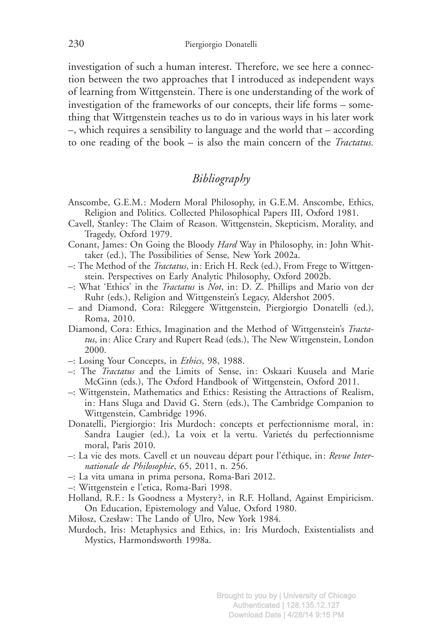investigation of such a human interest. Therefore, we see here a connection between the two approaches that I introduced as independent ways of learning from Wittgenstein. There is one understanding of the work of investigation of the frameworks of our concepts, their life forms – something that Wittgenstein teaches us to do in various ways in his later work –, which requires a sensibility to language and the world that – according to one reading of the book – is also the main concern of the Tractatus.

## Bibliography

- Anscombe, G.E.M.: Modern Moral Philosophy, in G.E.M. Anscombe, Ethics, Religion and Politics. Collected Philosophical Papers III, Oxford 1981.
- Cavell, Stanley: The Claim of Reason. Wittgenstein, Skepticism, Morality, and Tragedy, Oxford 1979.
- Conant, James: On Going the Bloody Hard Way in Philosophy, in: John Whittaker (ed.), The Possibilities of Sense, New York 2002a.
- –: The Method of the Tractatus, in: Erich H. Reck (ed.), From Frege to Wittgenstein. Perspectives on Early Analytic Philosophy, Oxford 2002b.
- –: What 'Ethics' in the Tractatus is Not, in: D. Z. Phillips and Mario von der Ruhr (eds.), Religion and Wittgenstein's Legacy, Aldershot 2005.
- and Diamond, Cora: Rileggere Wittgenstein, Piergiorgio Donatelli (ed.), Roma, 2010.
- Diamond, Cora: Ethics, Imagination and the Method of Wittgenstein's Tractatus, in: Alice Crary and Rupert Read (eds.), The New Wittgenstein, London 2000.
- $-$ : Losing Your Concepts, in *Ethics*, 98, 1988.
- –: The Tractatus and the Limits of Sense, in: Oskaari Kuusela and Marie McGinn (eds.), The Oxford Handbook of Wittgenstein, Oxford 2011.
- –: Wittgenstein, Mathematics and Ethics: Resisting the Attractions of Realism, in: Hans Sluga and David G. Stern (eds.), The Cambridge Companion to Wittgenstein, Cambridge 1996.
- Donatelli, Piergiorgio: Iris Murdoch: concepts et perfectionnisme moral, in: Sandra Laugier (ed.), La voix et la vertu. Varietés du perfectionnisme moral, Paris 2010.
- $-$ : La vie des mots. Cavell et un nouveau départ pour l'éthique, in: Revue Internationale de Philosophie, 65, 2011, n. 256.
- –: La vita umana in prima persona, Roma-Bari 2012.
- –: Wittgenstein e l'etica, Roma-Bari 1998.
- Holland, R.F.: Is Goodness a Mystery ?, in R.F. Holland, Against Empiricism. On Education, Epistemology and Value, Oxford 1980.
- Miłosz, Czesław: The Lando of Ulro, New York 1984.
- Murdoch, Iris: Metaphysics and Ethics, in: Iris Murdoch, Existentialists and Mystics, Harmondsworth 1998a.

Brought to you by | University of Chicago Authenticated | 128.135.12.127 Download Date | 4/28/14 9:15 PM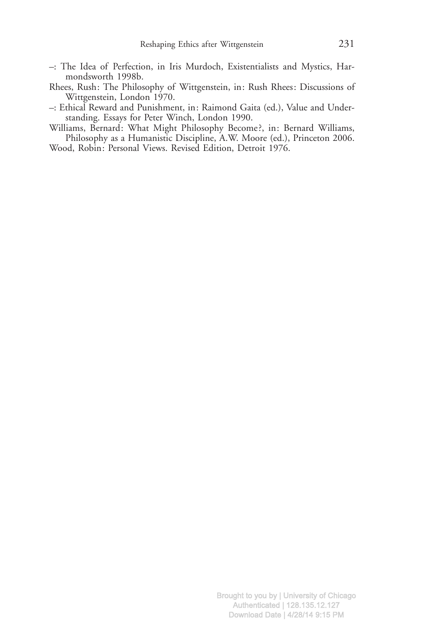- –: The Idea of Perfection, in Iris Murdoch, Existentialists and Mystics, Harmondsworth 1998b.
- Rhees, Rush: The Philosophy of Wittgenstein, in: Rush Rhees: Discussions of Wittgenstein, London 1970.
- –: Ethical Reward and Punishment, in: Raimond Gaita (ed.), Value and Understanding. Essays for Peter Winch, London 1990.
- Williams, Bernard: What Might Philosophy Become ?, in: Bernard Williams, Philosophy as a Humanistic Discipline, A.W. Moore (ed.), Princeton 2006.
- Wood, Robin: Personal Views. Revised Edition, Detroit 1976.